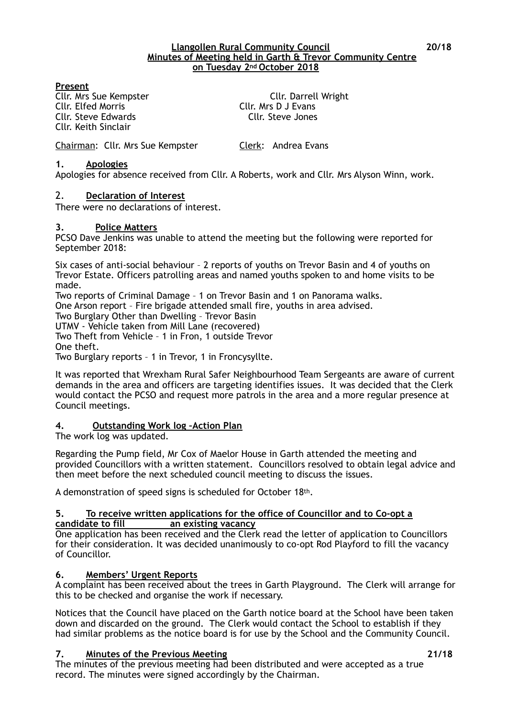#### **Llangollen Rural Community Council 20/18 Minutes of Meeting held in Garth & Trevor Community Centre on Tuesday 2nd October 2018**

### **Present**

Cllr. Elfed Morris Cllr. Mrs D J Evans Cllr. Steve Edwards Cllr. Steve Jones Cllr. Keith Sinclair

Cllr. Mrs Sue Kempster Cllr. Darrell Wright

Chairman: Cllr. Mrs Sue Kempster Clerk: Andrea Evans

#### **1. Apologies**

Apologies for absence received from Cllr. A Roberts, work and Cllr. Mrs Alyson Winn, work.

### 2. **Declaration of Interest**

There were no declarations of interest.

#### **3. Police Matters**

PCSO Dave Jenkins was unable to attend the meeting but the following were reported for September 2018:

Six cases of anti-social behaviour – 2 reports of youths on Trevor Basin and 4 of youths on Trevor Estate. Officers patrolling areas and named youths spoken to and home visits to be made.

Two reports of Criminal Damage – 1 on Trevor Basin and 1 on Panorama walks.

One Arson report – Fire brigade attended small fire, youths in area advised.

Two Burglary Other than Dwelling – Trevor Basin

UTMV - Vehicle taken from Mill Lane (recovered)

Two Theft from Vehicle – 1 in Fron, 1 outside Trevor One theft.

Two Burglary reports – 1 in Trevor, 1 in Froncysyllte.

It was reported that Wrexham Rural Safer Neighbourhood Team Sergeants are aware of current demands in the area and officers are targeting identifies issues. It was decided that the Clerk would contact the PCSO and request more patrols in the area and a more regular presence at Council meetings.

### **4. Outstanding Work log –Action Plan**

The work log was updated.

Regarding the Pump field, Mr Cox of Maelor House in Garth attended the meeting and provided Councillors with a written statement. Councillors resolved to obtain legal advice and then meet before the next scheduled council meeting to discuss the issues.

A demonstration of speed signs is scheduled for October 18th.

#### **5. To receive written applications for the office of Councillor and to Co-opt a candidate to fill an existing vacancy**

One application has been received and the Clerk read the letter of application to Councillors for their consideration. It was decided unanimously to co-opt Rod Playford to fill the vacancy of Councillor.

### **6. Members' Urgent Reports**

A complaint has been received about the trees in Garth Playground. The Clerk will arrange for this to be checked and organise the work if necessary.

Notices that the Council have placed on the Garth notice board at the School have been taken down and discarded on the ground. The Clerk would contact the School to establish if they had similar problems as the notice board is for use by the School and the Community Council.

### **7. Minutes of the Previous Meeting 21/18**

The minutes of the previous meeting had been distributed and were accepted as a true record. The minutes were signed accordingly by the Chairman.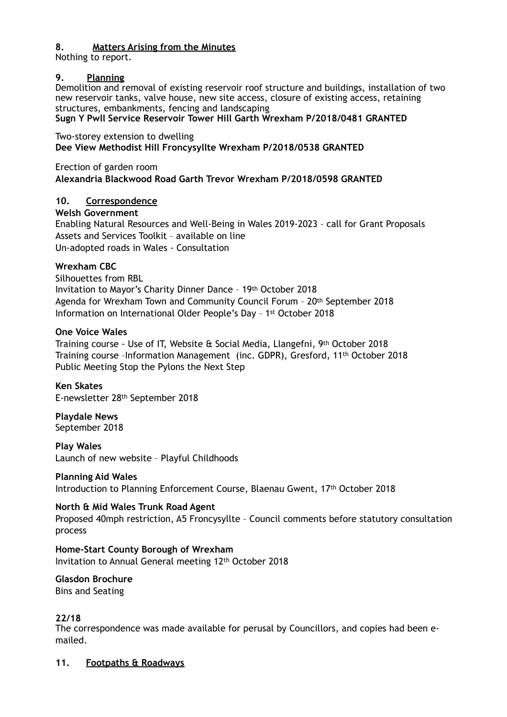## **8. Matters Arising from the Minutes**

Nothing to report.

## **9. Planning**

Demolition and removal of existing reservoir roof structure and buildings, installation of two new reservoir tanks, valve house, new site access, closure of existing access, retaining structures, embankments, fencing and landscaping

## **Sugn Y Pwll Service Reservoir Tower Hill Garth Wrexham P/2018/0481 GRANTED**

Two-storey extension to dwelling **Dee View Methodist Hill Froncysyllte Wrexham P/2018/0538 GRANTED** 

Erection of garden room **Alexandria Blackwood Road Garth Trevor Wrexham P/2018/0598 GRANTED**

## **10. Correspondence**

## **Welsh Government**

Enabling Natural Resources and Well-Being in Wales 2019-2023 – call for Grant Proposals Assets and Services Toolkit – available on line Un-adopted roads in Wales - Consultation

## **Wrexham CBC**

Silhouettes from RBL Invitation to Mayor's Charity Dinner Dance – 19th October 2018 Agenda for Wrexham Town and Community Council Forum – 20th September 2018 Information on International Older People's Day – 1st October 2018

## **One Voice Wales**

Training course - Use of IT, Website & Social Media, Llangefni, 9th October 2018 Training course –Information Management (inc. GDPR), Gresford, 11th October 2018 Public Meeting Stop the Pylons the Next Step

**Ken Skates**  E-newsletter 28th September 2018

**Playdale News**  September 2018

**Play Wales**  Launch of new website – Playful Childhoods

## **Planning Aid Wales**

Introduction to Planning Enforcement Course, Blaenau Gwent, 17th October 2018

**North & Mid Wales Trunk Road Agent**  Proposed 40mph restriction, A5 Froncysyllte – Council comments before statutory consultation process

**Home-Start County Borough of Wrexham**  Invitation to Annual General meeting 12th October 2018

**Glasdon Brochure**  Bins and Seating

# **22/18**

The correspondence was made available for perusal by Councillors, and copies had been emailed.

## **11. Footpaths & Roadways**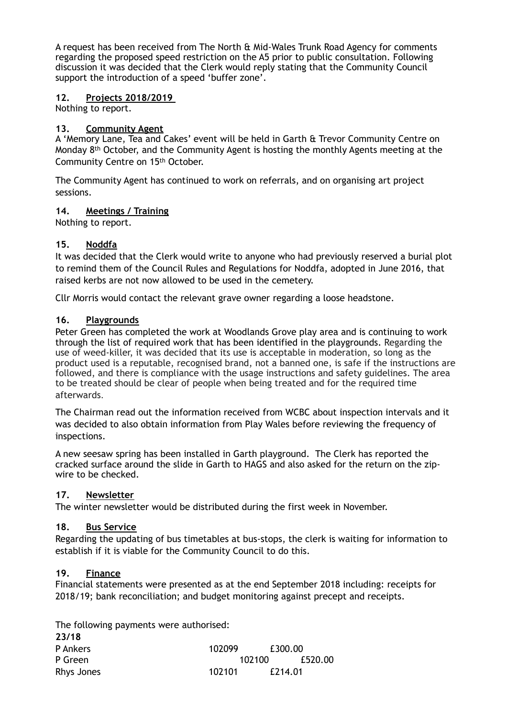A request has been received from The North & Mid-Wales Trunk Road Agency for comments regarding the proposed speed restriction on the A5 prior to public consultation. Following discussion it was decided that the Clerk would reply stating that the Community Council support the introduction of a speed 'buffer zone'.

### **12. Projects 2018/2019**

Nothing to report.

## **13. Community Agent**

A 'Memory Lane, Tea and Cakes' event will be held in Garth & Trevor Community Centre on Monday  $8<sup>th</sup>$  October, and the Community Agent is hosting the monthly Agents meeting at the Community Centre on 15th October.

The Community Agent has continued to work on referrals, and on organising art project sessions.

## **14. Meetings / Training**

Nothing to report.

## **15. Noddfa**

It was decided that the Clerk would write to anyone who had previously reserved a burial plot to remind them of the Council Rules and Regulations for Noddfa, adopted in June 2016, that raised kerbs are not now allowed to be used in the cemetery.

Cllr Morris would contact the relevant grave owner regarding a loose headstone.

### **16. Playgrounds**

Peter Green has completed the work at Woodlands Grove play area and is continuing to work through the list of required work that has been identified in the playgrounds. Regarding the use of weed-killer, it was decided that its use is acceptable in moderation, so long as the product used is a reputable, recognised brand, not a banned one, is safe if the instructions are followed, and there is compliance with the usage instructions and safety guidelines. The area to be treated should be clear of people when being treated and for the required time afterwards.

The Chairman read out the information received from WCBC about inspection intervals and it was decided to also obtain information from Play Wales before reviewing the frequency of inspections.

A new seesaw spring has been installed in Garth playground. The Clerk has reported the cracked surface around the slide in Garth to HAGS and also asked for the return on the zipwire to be checked.

## **17. Newsletter**

The winter newsletter would be distributed during the first week in November.

### **18. Bus Service**

Regarding the updating of bus timetables at bus-stops, the clerk is waiting for information to establish if it is viable for the Community Council to do this.

### **19. Finance**

**23/18**

Financial statements were presented as at the end September 2018 including: receipts for 2018/19; bank reconciliation; and budget monitoring against precept and receipts.

The following payments were authorised:

| <i>LJI</i> IV   |        |         |  |
|-----------------|--------|---------|--|
| <b>P</b> Ankers | 102099 | £300.00 |  |
| P Green         | 102100 | £520.00 |  |
| Rhys Jones      | 102101 | £214.01 |  |